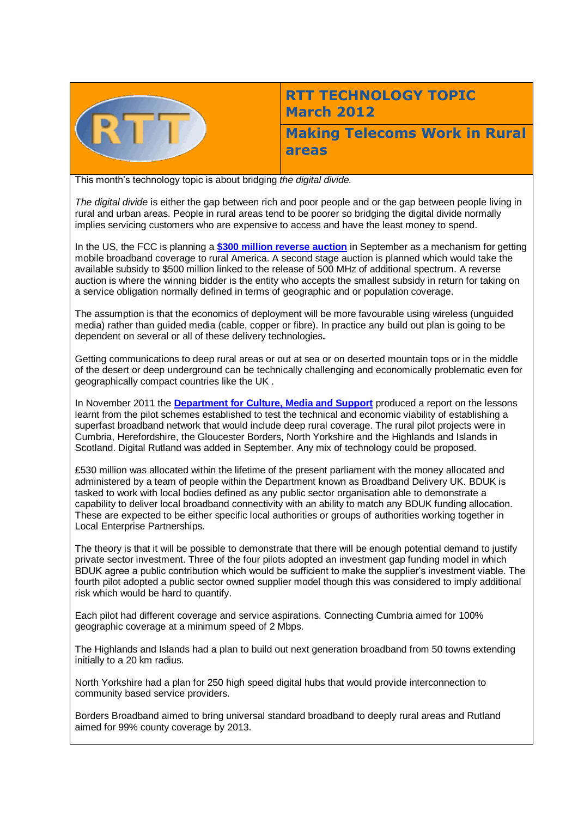

## **RTT TECHNOLOGY TOPIC March 2012**

**Making Telecoms Work in Rural areas**

This month's technology topic is about bridging *the digital divide.*

*The digital divide* is either the gap between rich and poor people and or the gap between people living in rural and urban areas. People in rural areas tend to be poorer so bridging the digital divide normally implies servicing customers who are expensive to access and have the least money to spend.

In the US, the FCC is planning a **[\\$300 million reverse auction](http://wireless.fcc.gov/auctions/default.htm?job=auctions_home)** in September as a mechanism for getting mobile broadband coverage to rural America. A second stage auction is planned which would take the available subsidy to \$500 million linked to the release of 500 MHz of additional spectrum. A reverse auction is where the winning bidder is the entity who accepts the smallest subsidy in return for taking on a service obligation normally defined in terms of geographic and or population coverage.

The assumption is that the economics of deployment will be more favourable using wireless (unguided media) rather than guided media (cable, copper or fibre). In practice any build out plan is going to be dependent on several or all of these delivery technologies**.** 

Getting communications to deep rural areas or out at sea or on deserted mountain tops or in the middle of the desert or deep underground can be technically challenging and economically problematic even for geographically compact countries like the UK .

In November 2011 the **[Department for Culture, Media and Support](http://www.culture.gov.uk/what_we_do/telecommunications_and_online/7763.aspx)** produced a report on the lessons learnt from the pilot schemes established to test the technical and economic viability of establishing a superfast broadband network that would include deep rural coverage. The rural pilot projects were in Cumbria, Herefordshire, the Gloucester Borders, North Yorkshire and the Highlands and Islands in Scotland. Digital Rutland was added in September. Any mix of technology could be proposed.

£530 million was allocated within the lifetime of the present parliament with the money allocated and administered by a team of people within the Department known as Broadband Delivery UK. BDUK is tasked to work with local bodies defined as any public sector organisation able to demonstrate a capability to deliver local broadband connectivity with an ability to match any BDUK funding allocation. These are expected to be either specific local authorities or groups of authorities working together in Local Enterprise Partnerships.

The theory is that it will be possible to demonstrate that there will be enough potential demand to justify private sector investment. Three of the four pilots adopted an investment gap funding model in which BDUK agree a public contribution which would be sufficient to make the supplier's investment viable. The fourth pilot adopted a public sector owned supplier model though this was considered to imply additional risk which would be hard to quantify.

Each pilot had different coverage and service aspirations. Connecting Cumbria aimed for 100% geographic coverage at a minimum speed of 2 Mbps.

The Highlands and Islands had a plan to build out next generation broadband from 50 towns extending initially to a 20 km radius.

North Yorkshire had a plan for 250 high speed digital hubs that would provide interconnection to community based service providers.

Borders Broadband aimed to bring universal standard broadband to deeply rural areas and Rutland aimed for 99% county coverage by 2013.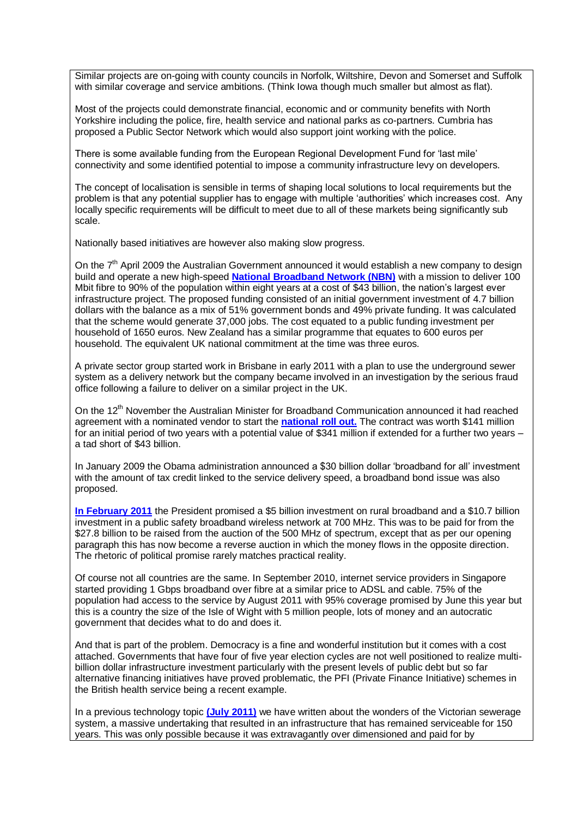Similar projects are on-going with county councils in Norfolk, Wiltshire, Devon and Somerset and Suffolk with similar coverage and service ambitions. (Think Iowa though much smaller but almost as flat).

Most of the projects could demonstrate financial, economic and or community benefits with North Yorkshire including the police, fire, health service and national parks as co-partners. Cumbria has proposed a Public Sector Network which would also support joint working with the police.

There is some available funding from the European Regional Development Fund for 'last mile' connectivity and some identified potential to impose a community infrastructure levy on developers.

The concept of localisation is sensible in terms of shaping local solutions to local requirements but the problem is that any potential supplier has to engage with multiple 'authorities' which increases cost. Any locally specific requirements will be difficult to meet due to all of these markets being significantly sub scale.

Nationally based initiatives are however also making slow progress.

On the  $7<sup>th</sup>$  April 2009 the Australian Government announced it would establish a new company to design build and operate a new high-speed **[National Broadband Network \(NBN\)](http://www.dbcde.gov.au/broadband/national_broadband_network/)** with a mission to deliver 100 Mbit fibre to 90% of the population within eight years at a cost of \$43 billion, the nation's largest ever infrastructure project. The proposed funding consisted of an initial government investment of 4.7 billion dollars with the balance as a mix of 51% government bonds and 49% private funding. It was calculated that the scheme would generate 37,000 jobs. The cost equated to a public funding investment per household of 1650 euros. New Zealand has a similar programme that equates to 600 euros per household. The equivalent UK national commitment at the time was three euros.

A private sector group started work in Brisbane in early 2011 with a plan to use the underground sewer system as a delivery network but the company became involved in an investigation by the serious fraud office following a failure to deliver on a similar project in the UK.

On the 12<sup>th</sup> November the Australian Minister for Broadband Communication announced it had reached agreement with a nominated vendor to start the **[national roll out.](http://australiabroadband.com/)** The contract was worth \$141 million for an initial period of two years with a potential value of \$341 million if extended for a further two years – a tad short of \$43 billion.

In January 2009 the Obama administration announced a \$30 billion dollar 'broadband for all' investment with the amount of tax credit linked to the service delivery speed, a broadband bond issue was also proposed.

**[In February 2011](http://www.broadband.gov/)** the President promised a \$5 billion investment on rural broadband and a \$10.7 billion investment in a public safety broadband wireless network at 700 MHz. This was to be paid for from the \$27.8 billion to be raised from the auction of the 500 MHz of spectrum, except that as per our opening paragraph this has now become a reverse auction in which the money flows in the opposite direction. The rhetoric of political promise rarely matches practical reality.

Of course not all countries are the same. In September 2010, internet service providers in Singapore started providing 1 Gbps broadband over fibre at a similar price to ADSL and cable. 75% of the population had access to the service by August 2011 with 95% coverage promised by June this year but this is a country the size of the Isle of Wight with 5 million people, lots of money and an autocratic government that decides what to do and does it.

And that is part of the problem. Democracy is a fine and wonderful institution but it comes with a cost attached. Governments that have four of five year election cycles are not well positioned to realize multibillion dollar infrastructure investment particularly with the present levels of public debt but so far alternative financing initiatives have proved problematic, the PFI (Private Finance Initiative) schemes in the British health service being a recent example.

In a previous technology topic **[\(July 2011\)](http://www.rttonline.com/tt/TT2011_007.pdf)** we have written about the wonders of the Victorian sewerage system, a massive undertaking that resulted in an infrastructure that has remained serviceable for 150 years. This was only possible because it was extravagantly over dimensioned and paid for by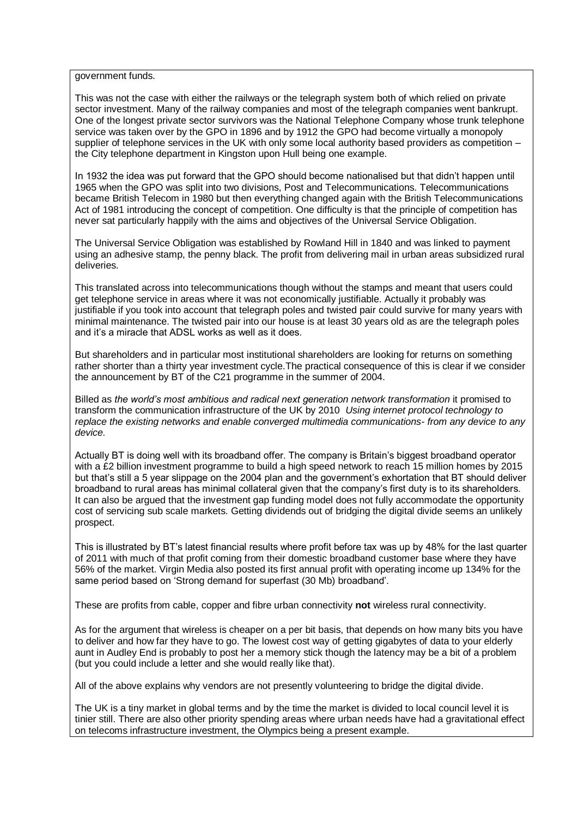government funds.

This was not the case with either the railways or the telegraph system both of which relied on private sector investment. Many of the railway companies and most of the telegraph companies went bankrupt. One of the longest private sector survivors was the National Telephone Company whose trunk telephone service was taken over by the GPO in 1896 and by 1912 the GPO had become virtually a monopoly supplier of telephone services in the UK with only some local authority based providers as competition the City telephone department in Kingston upon Hull being one example.

In 1932 the idea was put forward that the GPO should become nationalised but that didn't happen until 1965 when the GPO was split into two divisions, Post and Telecommunications. Telecommunications became British Telecom in 1980 but then everything changed again with the British Telecommunications Act of 1981 introducing the concept of competition. One difficulty is that the principle of competition has never sat particularly happily with the aims and objectives of the Universal Service Obligation.

The Universal Service Obligation was established by Rowland Hill in 1840 and was linked to payment using an adhesive stamp, the penny black. The profit from delivering mail in urban areas subsidized rural deliveries.

This translated across into telecommunications though without the stamps and meant that users could get telephone service in areas where it was not economically justifiable. Actually it probably was justifiable if you took into account that telegraph poles and twisted pair could survive for many years with minimal maintenance. The twisted pair into our house is at least 30 years old as are the telegraph poles and it's a miracle that ADSL works as well as it does.

But shareholders and in particular most institutional shareholders are looking for returns on something rather shorter than a thirty year investment cycle.The practical consequence of this is clear if we consider the announcement by BT of the C21 programme in the summer of 2004.

Billed as *the world's most ambitious and radical next generation network transformation* it promised to transform the communication infrastructure of the UK by 2010 *Using internet protocol technology to replace the existing networks and enable converged multimedia communications- from any device to any device.*

Actually BT is doing well with its broadband offer. The company is Britain's biggest broadband operator with a £2 billion investment programme to build a high speed network to reach 15 million homes by 2015 but that's still a 5 year slippage on the 2004 plan and the government's exhortation that BT should deliver broadband to rural areas has minimal collateral given that the company's first duty is to its shareholders. It can also be argued that the investment gap funding model does not fully accommodate the opportunity cost of servicing sub scale markets. Getting dividends out of bridging the digital divide seems an unlikely prospect.

This is illustrated by BT's latest financial results where profit before tax was up by 48% for the last quarter of 2011 with much of that profit coming from their domestic broadband customer base where they have 56% of the market. Virgin Media also posted its first annual profit with operating income up 134% for the same period based on 'Strong demand for superfast (30 Mb) broadband'.

These are profits from cable, copper and fibre urban connectivity **not** wireless rural connectivity.

As for the argument that wireless is cheaper on a per bit basis, that depends on how many bits you have to deliver and how far they have to go. The lowest cost way of getting gigabytes of data to your elderly aunt in Audley End is probably to post her a memory stick though the latency may be a bit of a problem (but you could include a letter and she would really like that).

All of the above explains why vendors are not presently volunteering to bridge the digital divide.

The UK is a tiny market in global terms and by the time the market is divided to local council level it is tinier still. There are also other priority spending areas where urban needs have had a gravitational effect on telecoms infrastructure investment, the Olympics being a present example.